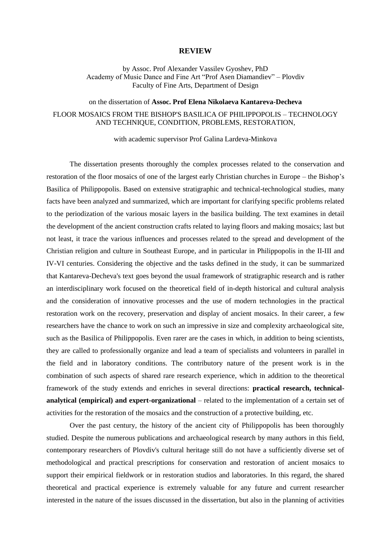## **REVIEW**

by Assoc. Prof Alexander Vassilev Gyoshev, PhD Academy of Music Dance and Fine Art "Prof Asen Diamandiev" – Plovdiv Faculty of Fine Arts, Department of Design

## on the dissertation of **Assoc. Prof Elena Nikolaeva Kantareva-Decheva** FLOOR MOSAICS FROM THE BISHOP'S BASILICA OF PHILIPPOPOLIS – TECHNOLOGY AND TECHNIQUE, CONDITION, PROBLEMS, RESTORATION,

with academic supervisor Prof Galina Lardeva-Minkova

The dissertation presents thoroughly the complex processes related to the conservation and restoration of the floor mosaics of one of the largest early Christian churches in Europe – the Bishop's Basilica of Philippopolis. Based on extensive stratigraphic and technical-technological studies, many facts have been analyzed and summarized, which are important for clarifying specific problems related to the periodization of the various mosaic layers in the basilica building. The text examines in detail the development of the ancient construction crafts related to laying floors and making mosaics; last but not least, it trace the various influences and processes related to the spread and development of the Christian religion and culture in Southeast Europe, and in particular in Philippopolis in the II-III and IV-VI centuries. Considering the objective and the tasks defined in the study, it can be summarized that Kantareva-Decheva's text goes beyond the usual framework of stratigraphic research and is rather an interdisciplinary work focused on the theoretical field of in-depth historical and cultural analysis and the consideration of innovative processes and the use of modern technologies in the practical restoration work on the recovery, preservation and display of ancient mosaics. In their career, a few researchers have the chance to work on such an impressive in size and complexity archaeological site, such as the Basilica of Philippopolis. Even rarer are the cases in which, in addition to being scientists, they are called to professionally organize and lead a team of specialists and volunteers in parallel in the field and in laboratory conditions. The contributory nature of the present work is in the combination of such aspects of shared rare research experience, which in addition to the theoretical framework of the study extends and enriches in several directions: **practical research, technicalanalytical (empirical) and expert-organizational** – related to the implementation of a certain set of activities for the restoration of the mosaics and the construction of a protective building, etc.

Over the past century, the history of the ancient city of Philippopolis has been thoroughly studied. Despite the numerous publications and archaeological research by many authors in this field, contemporary researchers of Plovdiv's cultural heritage still do not have a sufficiently diverse set of methodological and practical prescriptions for conservation and restoration of ancient mosaics to support their empirical fieldwork or in restoration studios and laboratories. In this regard, the shared theoretical and practical experience is extremely valuable for any future and current researcher interested in the nature of the issues discussed in the dissertation, but also in the planning of activities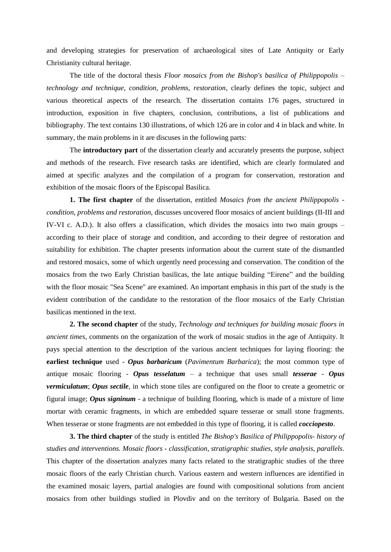and developing strategies for preservation of archaeological sites of Late Antiquity or Early Christianity cultural heritage.

The title of the doctoral thesis *Floor mosaics from the Bishop's basilica of Philippopolis – technology and technique, condition, problems, restoration*, clearly defines the topic, subject and various theoretical aspects of the research. The dissertation contains 176 pages, structured in introduction, exposition in five chapters, conclusion, contributions, a list of publications and bibliography. The text contains 130 illustrations, of which 126 are in color and 4 in black and white. In summary, the main problems in it are discuses in the following parts:

The **introductory part** of the dissertation clearly and accurately presents the purpose, subject and methods of the research. Five research tasks are identified, which are clearly formulated and aimed at specific analyzes and the compilation of a program for conservation, restoration and exhibition of the mosaic floors of the Episcopal Basilica.

**1. The first chapter** of the dissertation, entitled *Mosaics from the ancient Philippopolis condition, problems and restoration*, discusses uncovered floor mosaics of ancient buildings (II-III and IV-VI c. A.D.). It also offers a classification, which divides the mosaics into two main groups – according to their place of storage and condition, and according to their degree of restoration and suitability for exhibition. The chapter presents information about the current state of the dismantled and restored mosaics, some of which urgently need processing and conservation. The condition of the mosaics from the two Early Christian basilicas, the late antique building "Eirene" and the building with the floor mosaic "Sea Scene" are examined. An important emphasis in this part of the study is the evident contribution of the candidate to the restoration of the floor mosaics of the Early Christian basilicas mentioned in the text.

**2. The second chapter** of the study, *Technology and techniques for building mosaic floors in ancient times*, comments on the organization of the work of mosaic studios in the age of Antiquity. It pays special attention to the description of the various ancient techniques for laying flooring: the **earliest technique** used - *Opus barbaricum* (*Pavimentum Barbarica*); the most common type of antique mosaic flooring - *Opus tesselatum* – a technique that uses small *tesserae* - *Opus vermiculatum*; *Opus sectile*, in which stone tiles are configured on the floor to create a geometric or figural image; *Opus signinum* - a technique of building flooring, which is made of a mixture of lime mortar with ceramic fragments, in which are embedded square tesserae or small stone fragments. When tesserae or stone fragments are not embedded in this type of flooring, it is called *cocciopesto*.

**3. The third chapter** of the study is entitled *The Bishop's Basilica of Philippopolis- history of studies and interventions. Mosaic floors - classification, stratigraphic studies, style analysis, parallels*. This chapter of the dissertation analyzes many facts related to the stratigraphic studies of the three mosaic floors of the early Christian church. Various eastern and western influences are identified in the examined mosaic layers, partial analogies are found with compositional solutions from ancient mosaics from other buildings studied in Plovdiv and on the territory of Bulgaria. Based on the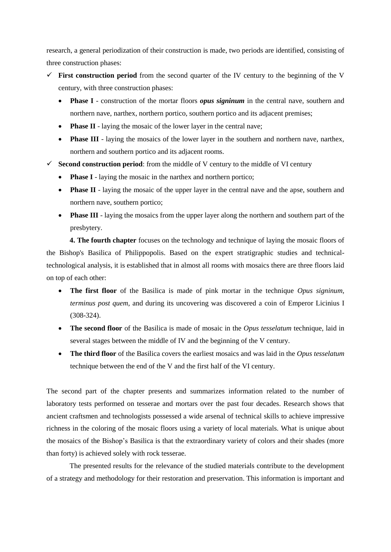research, a general periodization of their construction is made, two periods are identified, consisting of three construction phases:

- $\checkmark$  First construction period from the second quarter of the IV century to the beginning of the V century, with three construction phases:
	- **Phase I** construction of the mortar floors *opus signinum* in the central nave, southern and northern nave, narthex, northern portico, southern portico and its adjacent premises;
	- **Phase II** laying the mosaic of the lower layer in the central nave;
	- Phase III laying the mosaics of the lower layer in the southern and northern nave, narthex, northern and southern portico and its adjacent rooms.
- $\checkmark$  **Second construction period**: from the middle of V century to the middle of VI century
	- **Phase I** laying the mosaic in the narthex and northern portico;
	- **Phase II** laying the mosaic of the upper layer in the central nave and the apse, southern and northern nave, southern portico;
	- **Phase III** laying the mosaics from the upper layer along the northern and southern part of the presbytery.

**4. The fourth chapter** focuses on the technology and technique of laying the mosaic floors of the Bishop's Basilica of Philippopolis. Based on the expert stratigraphic studies and technicaltechnological analysis, it is established that in almost all rooms with mosaics there are three floors laid on top of each other:

- **The first floor** of the Basilica is made of pink mortar in the technique *Opus signinum, terminus post quem*, and during its uncovering was discovered a coin of Emperor Licinius I (308-324).
- **The second floor** of the Basilica is made of mosaic in the *Opus tesselatum* technique, laid in several stages between the middle of IV and the beginning of the V century.
- **The third floor** of the Basilica covers the earliest mosaics and was laid in the *Opus tesselatum* technique between the end of the V and the first half of the VI century.

The second part of the chapter presents and summarizes information related to the number of laboratory tests performed on tesserae and mortars over the past four decades. Research shows that ancient craftsmen and technologists possessed a wide arsenal of technical skills to achieve impressive richness in the coloring of the mosaic floors using a variety of local materials. What is unique about the mosaics of the Bishop's Basilica is that the extraordinary variety of colors and their shades (more than forty) is achieved solely with rock tesserae.

The presented results for the relevance of the studied materials contribute to the development of a strategy and methodology for their restoration and preservation. This information is important and